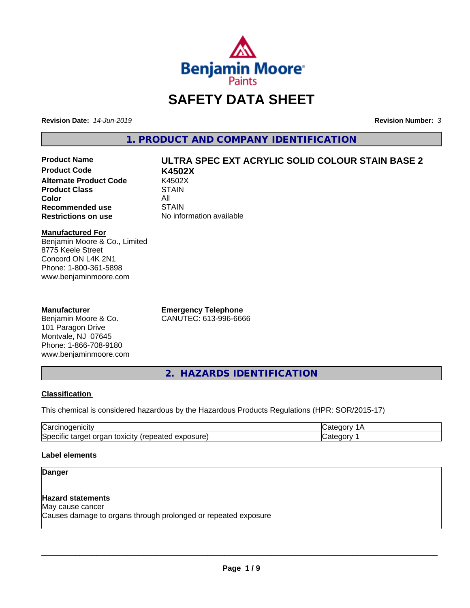

# **SAFETY DATA SHEET**

**Revision Date:** *14-Jun-2019* **Revision Number:** *3*

**1. PRODUCT AND COMPANY IDENTIFICATION**

**Product Code K4502X Alternate Product Code 6 K4502X**<br>**Product Class 6 KTAIN Product Class Color** All All<br>**Recommended use** STAIN **Recommended use**<br>Restrictions on use

# **Product Name ULTRA SPEC EXT ACRYLIC SOLID COLOUR STAIN BASE 2**

**No information available** 

# **Manufactured For**

Benjamin Moore & Co., Limited 8775 Keele Street Concord ON L4K 2N1 Phone: 1-800-361-5898 www.benjaminmoore.com

# **Manufacturer**

Benjamin Moore & Co. 101 Paragon Drive Montvale, NJ 07645 Phone: 1-866-708-9180 www.benjaminmoore.com

**Emergency Telephone** CANUTEC: 613-996-6666

**2. HAZARDS IDENTIFICATION**

# **Classification**

This chemical is considered hazardous by the Hazardous Products Regulations (HPR: SOR/2015-17)

| r<br>н<br>. 1. 11                                                                                               | - - - |
|-----------------------------------------------------------------------------------------------------------------|-------|
| .<br>lSr<br>exposure<br>.<br>$+0.2101$<br>τοχι<br>orr<br>161<br>⊹ne:<br>tar<br>лнс<br>Baleu<br>៱៲៶៲៶៴<br>$\sim$ | .     |

# **Label elements**

# **Danger**

# **Hazard statements**

May cause cancer Causes damage to organs through prolonged or repeated exposure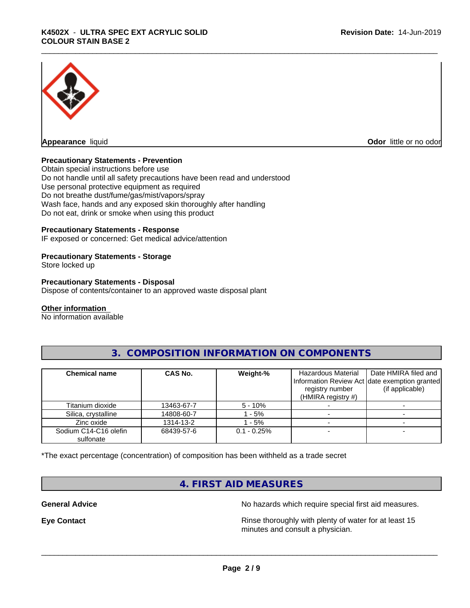

**Odor** little or no odor

# **Precautionary Statements - Prevention**

Obtain special instructions before use Do not handle until all safety precautions have been read and understood Use personal protective equipment as required Do not breathe dust/fume/gas/mist/vapors/spray Wash face, hands and any exposed skin thoroughly after handling Do not eat, drink or smoke when using this product

# **Precautionary Statements - Response**

IF exposed or concerned: Get medical advice/attention

### **Precautionary Statements - Storage**

Store locked up

### **Precautionary Statements - Disposal**

Dispose of contents/container to an approved waste disposal plant

#### **Other information**

No information available

| <b>Chemical name</b>               | CAS No.    | Weight-%       | Hazardous Material<br>registry number<br>(HMIRA registry $#$ ) | Date HMIRA filed and<br>Information Review Act date exemption granted<br>(if applicable) |
|------------------------------------|------------|----------------|----------------------------------------------------------------|------------------------------------------------------------------------------------------|
| Titanium dioxide                   | 13463-67-7 | $5 - 10%$      |                                                                |                                                                                          |
| Silica, crystalline                | 14808-60-7 | - 5%           |                                                                |                                                                                          |
| Zinc oxide                         | 1314-13-2  | - 5%           |                                                                |                                                                                          |
| Sodium C14-C16 olefin<br>sulfonate | 68439-57-6 | $0.1 - 0.25\%$ |                                                                |                                                                                          |

# **3. COMPOSITION INFORMATION ON COMPONENTS**

\*The exact percentage (concentration) of composition has been withheld as a trade secret

# **4. FIRST AID MEASURES**

**General Advice** No hazards which require special first aid measures.

**Eye Contact Exercise 2.1 <b>Exercise 2.1 Rinse** thoroughly with plenty of water for at least 15 minutes and consult a physician.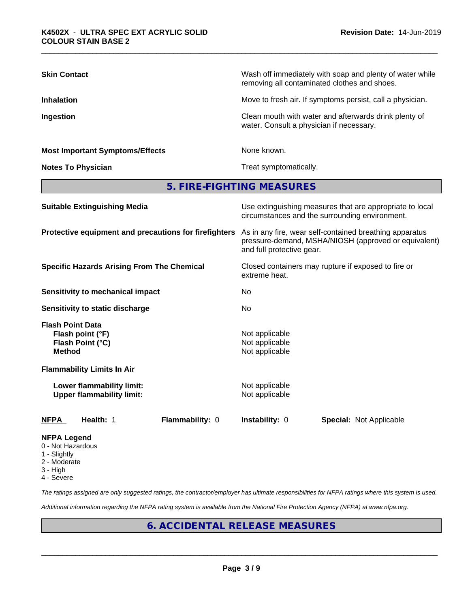| <b>Skin Contact</b>                                                              | Wash off immediately with soap and plenty of water while<br>removing all contaminated clothes and shoes.                                     |  |
|----------------------------------------------------------------------------------|----------------------------------------------------------------------------------------------------------------------------------------------|--|
| <b>Inhalation</b>                                                                | Move to fresh air. If symptoms persist, call a physician.                                                                                    |  |
| Ingestion                                                                        | Clean mouth with water and afterwards drink plenty of<br>water. Consult a physician if necessary.                                            |  |
| <b>Most Important Symptoms/Effects</b>                                           | None known.                                                                                                                                  |  |
| <b>Notes To Physician</b>                                                        | Treat symptomatically.                                                                                                                       |  |
|                                                                                  | 5. FIRE-FIGHTING MEASURES                                                                                                                    |  |
| <b>Suitable Extinguishing Media</b>                                              | Use extinguishing measures that are appropriate to local<br>circumstances and the surrounding environment.                                   |  |
| Protective equipment and precautions for firefighters                            | As in any fire, wear self-contained breathing apparatus<br>pressure-demand, MSHA/NIOSH (approved or equivalent)<br>and full protective gear. |  |
| <b>Specific Hazards Arising From The Chemical</b>                                | Closed containers may rupture if exposed to fire or<br>extreme heat.                                                                         |  |
| <b>Sensitivity to mechanical impact</b>                                          | No                                                                                                                                           |  |
| Sensitivity to static discharge                                                  | No                                                                                                                                           |  |
| <b>Flash Point Data</b><br>Flash point (°F)<br>Flash Point (°C)<br><b>Method</b> | Not applicable<br>Not applicable<br>Not applicable                                                                                           |  |
| <b>Flammability Limits In Air</b>                                                |                                                                                                                                              |  |
| Lower flammability limit:<br><b>Upper flammability limit:</b>                    | Not applicable<br>Not applicable                                                                                                             |  |
| Health: 1<br><b>NFPA</b><br>Flammability: 0                                      | Instability: 0<br><b>Special: Not Applicable</b>                                                                                             |  |
| NFPA Legend                                                                      |                                                                                                                                              |  |

- 0 Not Hazardous
- 1 Slightly
- 2 Moderate
- 3 High
- 4 Severe

*The ratings assigned are only suggested ratings, the contractor/employer has ultimate responsibilities for NFPA ratings where this system is used.*

*Additional information regarding the NFPA rating system is available from the National Fire Protection Agency (NFPA) at www.nfpa.org.*

# **6. ACCIDENTAL RELEASE MEASURES**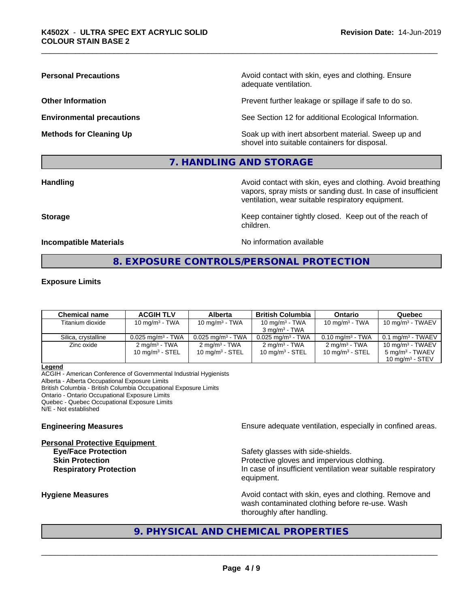**Personal Precautions Precautions** Avoid contact with skin, eyes and clothing. Ensure adequate ventilation.

**Other Information Other Information Prevent further leakage or spillage if safe to do so.** 

**Environmental precautions** See Section 12 for additional Ecological Information.

**Methods for Cleaning Up Example 20 All 20 All 20 All 20 Soak** up with inert absorbent material. Sweep up and shovel into suitable containers for disposal.

# **7. HANDLING AND STORAGE**

**Handling Handling Avoid contact with skin, eyes and clothing. Avoid breathing** vapors, spray mists or sanding dust. In case of insufficient ventilation, wear suitable respiratory equipment.

**Storage Keep container tightly closed. Keep out of the reach of Keep** container tightly closed. Keep out of the reach of children.

**Incompatible Materials** Noinformation available

# **8. EXPOSURE CONTROLS/PERSONAL PROTECTION**

# **Exposure Limits**

| <b>Chemical name</b> | <b>ACGIH TLV</b>                | Alberta                      | <b>British Columbia</b>         | <b>Ontario</b>                 | Quebec                       |
|----------------------|---------------------------------|------------------------------|---------------------------------|--------------------------------|------------------------------|
| Titanium dioxide     | 10 mg/m $3$ - TWA               | 10 mg/m $3$ - TWA            | 10 mg/m $3$ - TWA               | 10 mg/m $3$ - TWA              | 10 mg/m $3$ - TWAEV          |
|                      |                                 |                              | $3 \text{ ma/m}^3$ - TWA        |                                |                              |
| Silica, crystalline  | $0.025$ mg/m <sup>3</sup> - TWA | $0.025 \text{ mg/m}^3$ - TWA | $0.025$ mg/m <sup>3</sup> - TWA | $0.10$ mg/m <sup>3</sup> - TWA | $0.1 \text{ ma/m}^3$ - TWAEV |
| Zinc oxide           | $2 \text{ ma/m}^3$ - TWA        | $2 \text{ ma/m}^3$ - TWA     | $2 \text{ ma/m}^3$ - TWA        | $2 \text{ mg/m}^3$ - TWA       | 10 mg/m <sup>3</sup> - TWAEV |
|                      | 10 mg/m $3$ - STEL              | $10 \text{ mg/m}^3$ - STEL   | 10 mg/m <sup>3</sup> - STEL     | 10 mg/m $3$ - STEL             | 5 mg/m <sup>3</sup> - TWAEV  |
|                      |                                 |                              |                                 |                                | 10 $ma/m3$ - STEV            |

**Legend**

ACGIH - American Conference of Governmental Industrial Hygienists Alberta - Alberta Occupational Exposure Limits British Columbia - British Columbia Occupational Exposure Limits Ontario - Ontario Occupational Exposure Limits Quebec - Quebec Occupational Exposure Limits N/E - Not established

# **Personal Protective Equipment**

**Engineering Measures Ensure adequate ventilation, especially in confined areas.** 

**Eye/Face Protection** Safety glasses with side-shields. **Skin Protection Protection Protective gloves and impervious clothing. Respiratory Protection In case of insufficient ventilation wear suitable respiratory** equipment.

**Hygiene Measures Avoid contact with skin, eyes and clothing. Remove and Avoid contact with skin, eyes and clothing. Remove and Avoid contact with skin, eyes and clothing. Remove and** wash contaminated clothing before re-use. Wash thoroughly after handling.

# **9. PHYSICAL AND CHEMICAL PROPERTIES**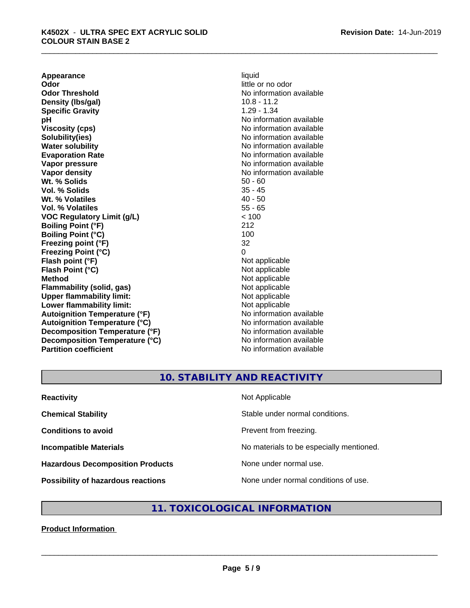**Appearance** liquid<br> **Odor** little c **Odor Threshold** No information available **Density (lbs/gal)** 10.8 - 11.2 **Specific Gravity** 1.29 - 1.34 **pH** No information available **Viscosity (cps)** No information available Notice 1, 1999 **Solubility(ies)** No information available in the solution of the solution of the solution available in the solution of the solution of the solution of the solution of the solution of the solution of the solution of the so **Water solubility** No information available **Evaporation Rate No information available No information available Vapor pressure** No information available **No information** available **Vapor density**<br> **We Solids**<br>
We Solid Wi, % Solids<br>
We Note that the Solid Solid Solid Solid Solid Solid Solid Solid Solid Solid Solid Solid Solid Solid Solid Solid Solid Solid Solid Solid Solid Solid Solid Solid Solid So **Wt. % Solids** 50 - 60<br> **Vol. % Solids** 50 - 60<br> **Vol. % Solids** 50 - 45 **Vol. % Solids Wt. % Volatiles** 40 - 50 **Vol. % Volatiles** 55 - 65 **VOC Regulatory Limit (g/L)** < 100 **Boiling Point (°F)** 212 **Boiling Point (°C)** 100 **Freezing point (°F)** 32 **Freezing Point (°C)** 0 **Flash point (°F)**<br> **Flash Point (°C)**<br> **Flash Point (°C)**<br> **Complicate State Additional Point (°C)**<br> **Not** applicable **Flash Point (°C) Method** Not applicable<br> **Flammability (solid, gas)** Not applicable Not applicable **Flammability** (solid, gas) **Upper flammability limit:**<br> **Lower flammability limit:**<br>
Not applicable<br>
Not applicable **Lower flammability limit:**<br> **Autoignition Temperature (°F)** Not applicable Not applicable available **Autoignition Temperature (°F) Autoignition Temperature (°C)** No information available **Decomposition Temperature (°F)** No information available **Decomposition Temperature (°C)** No information available **Partition coefficient** No information available

little or no odor

# **10. STABILITY AND REACTIVITY**

| <b>Reactivity</b>                         | Not Applicable                           |
|-------------------------------------------|------------------------------------------|
| <b>Chemical Stability</b>                 | Stable under normal conditions.          |
| <b>Conditions to avoid</b>                | Prevent from freezing.                   |
| <b>Incompatible Materials</b>             | No materials to be especially mentioned. |
| <b>Hazardous Decomposition Products</b>   | None under normal use.                   |
| <b>Possibility of hazardous reactions</b> | None under normal conditions of use.     |

# **11. TOXICOLOGICAL INFORMATION**

# **Product Information**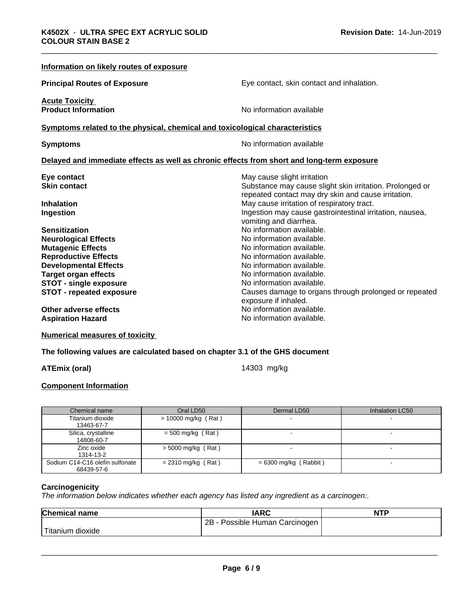| Information on likely routes of exposure                                                   |                                                                                                                 |
|--------------------------------------------------------------------------------------------|-----------------------------------------------------------------------------------------------------------------|
| <b>Principal Routes of Exposure</b>                                                        | Eye contact, skin contact and inhalation.                                                                       |
| <b>Acute Toxicity</b>                                                                      |                                                                                                                 |
| <b>Product Information</b>                                                                 | No information available                                                                                        |
| Symptoms related to the physical, chemical and toxicological characteristics               |                                                                                                                 |
| <b>Symptoms</b>                                                                            | No information available                                                                                        |
| Delayed and immediate effects as well as chronic effects from short and long-term exposure |                                                                                                                 |
| Eye contact                                                                                | May cause slight irritation                                                                                     |
| <b>Skin contact</b>                                                                        | Substance may cause slight skin irritation. Prolonged or<br>repeated contact may dry skin and cause irritation. |
| <b>Inhalation</b>                                                                          | May cause irritation of respiratory tract.                                                                      |
| Ingestion                                                                                  | Ingestion may cause gastrointestinal irritation, nausea,<br>vomiting and diarrhea.                              |
| <b>Sensitization</b>                                                                       | No information available.                                                                                       |
| <b>Neurological Effects</b>                                                                | No information available.                                                                                       |
| <b>Mutagenic Effects</b>                                                                   | No information available.                                                                                       |
| <b>Reproductive Effects</b>                                                                | No information available.                                                                                       |
| <b>Developmental Effects</b>                                                               | No information available.                                                                                       |
| <b>Target organ effects</b>                                                                | No information available.                                                                                       |
| <b>STOT - single exposure</b>                                                              | No information available.                                                                                       |
| <b>STOT - repeated exposure</b>                                                            | Causes damage to organs through prolonged or repeated<br>exposure if inhaled.                                   |
| Other adverse effects                                                                      | No information available.                                                                                       |
| <b>Aspiration Hazard</b>                                                                   | No information available.                                                                                       |

**Numerical measures of toxicity**

**The following values are calculated based on chapter 3.1 of the GHS document**

**ATEmix (oral)** 14303 mg/kg

# **Component Information**

| Chemical name                                 | Oral LD50             | Dermal LD50             | Inhalation LC50 |
|-----------------------------------------------|-----------------------|-------------------------|-----------------|
| Titanium dioxide<br>13463-67-7                | $> 10000$ mg/kg (Rat) |                         |                 |
| Silica, crystalline<br>14808-60-7             | $=$ 500 mg/kg (Rat)   |                         |                 |
| Zinc oxide<br>1314-13-2                       | $>$ 5000 mg/kg (Rat)  |                         |                 |
| Sodium C14-C16 olefin sulfonate<br>68439-57-6 | $= 2310$ mg/kg (Rat)  | $= 6300$ mg/kg (Rabbit) |                 |

# **Carcinogenicity**

*The information below indicateswhether each agency has listed any ingredient as a carcinogen:.*

| <b>Chemical name</b> | <b>IARC</b>                         | <b>NTP</b> |
|----------------------|-------------------------------------|------------|
|                      | Possible Human Carcinogen<br>$2B -$ |            |
| Titanium dioxide     |                                     |            |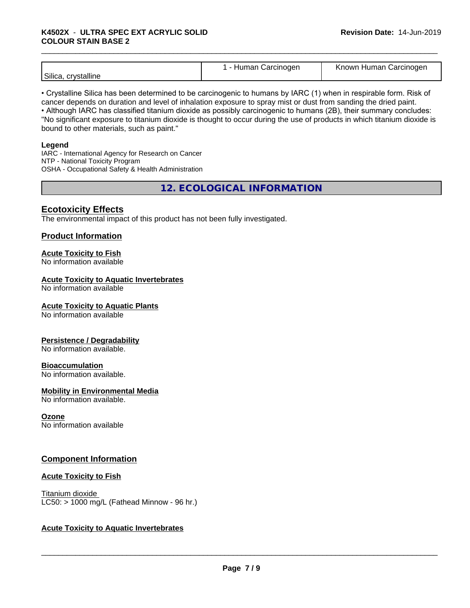# \_\_\_\_\_\_\_\_\_\_\_\_\_\_\_\_\_\_\_\_\_\_\_\_\_\_\_\_\_\_\_\_\_\_\_\_\_\_\_\_\_\_\_\_\_\_\_\_\_\_\_\_\_\_\_\_\_\_\_\_\_\_\_\_\_\_\_\_\_\_\_\_\_\_\_\_\_\_\_\_\_\_\_\_\_\_\_\_\_\_\_\_\_ **K4502X** - **ULTRA SPEC EXT ACRYLIC SOLID COLOUR STAIN BASE 2**

|--|

• Crystalline Silica has been determined to be carcinogenic to humans by IARC (1) when in respirable form. Risk of cancer depends on duration and level of inhalation exposure to spray mist or dust from sanding the dried paint.• Although IARC has classified titanium dioxide as possibly carcinogenic to humans (2B), their summary concludes: "No significant exposure to titanium dioxide is thought to occur during the use of products in which titanium dioxide is bound to other materials, such as paint."

# **Legend**

IARC - International Agency for Research on Cancer NTP - National Toxicity Program OSHA - Occupational Safety & Health Administration

**12. ECOLOGICAL INFORMATION**

# **Ecotoxicity Effects**

The environmental impact of this product has not been fully investigated.

# **Product Information**

# **Acute Toxicity to Fish**

No information available

# **Acute Toxicity to Aquatic Invertebrates**

No information available

# **Acute Toxicity to Aquatic Plants**

No information available

# **Persistence / Degradability**

No information available.

# **Bioaccumulation**

No information available.

# **Mobility in Environmental Media**

No information available.

# **Ozone**

No information available

# **Component Information**

# **Acute Toxicity to Fish**

Titanium dioxide  $LC50:$  > 1000 mg/L (Fathead Minnow - 96 hr.)

# **Acute Toxicity to Aquatic Invertebrates**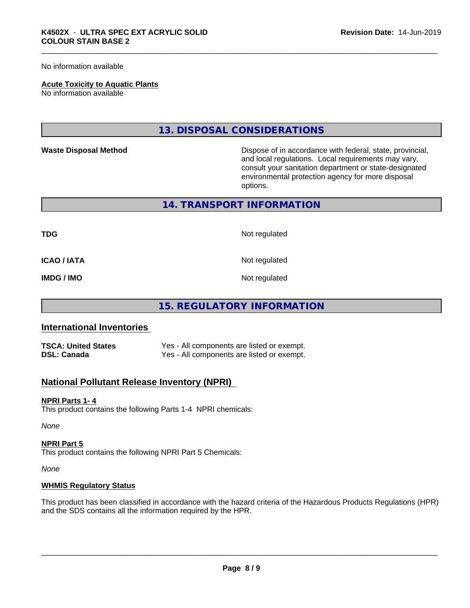No information available

# **Acute Toxicity to Aquatic Plants**

No information available

# **13. DISPOSAL CONSIDERATIONS**

**Waste Disposal Method** Dispose of in accordance with federal, state, provincial, and local regulations. Local requirements may vary, consult your sanitation department or state-designated environmental protection agency for more disposal options.

# **14. TRANSPORT INFORMATION**

**TDG** Not regulated

**ICAO / IATA** Not regulated

**IMDG / IMO** Not regulated

# **15. REGULATORY INFORMATION**

# **International Inventories**

| <b>TSCA: United States</b> | Yes - All components are listed or exempt. |
|----------------------------|--------------------------------------------|
| <b>DSL: Canada</b>         | Yes - All components are listed or exempt. |

# **National Pollutant Release Inventory (NPRI)**

### **NPRI Parts 1- 4**

This product contains the following Parts 1-4 NPRI chemicals:

*None*

### **NPRI Part 5**

This product contains the following NPRI Part 5 Chemicals:

*None*

## **WHMIS Regulatory Status**

This product has been classified in accordance with the hazard criteria of the Hazardous Products Regulations (HPR) and the SDS contains all the information required by the HPR.